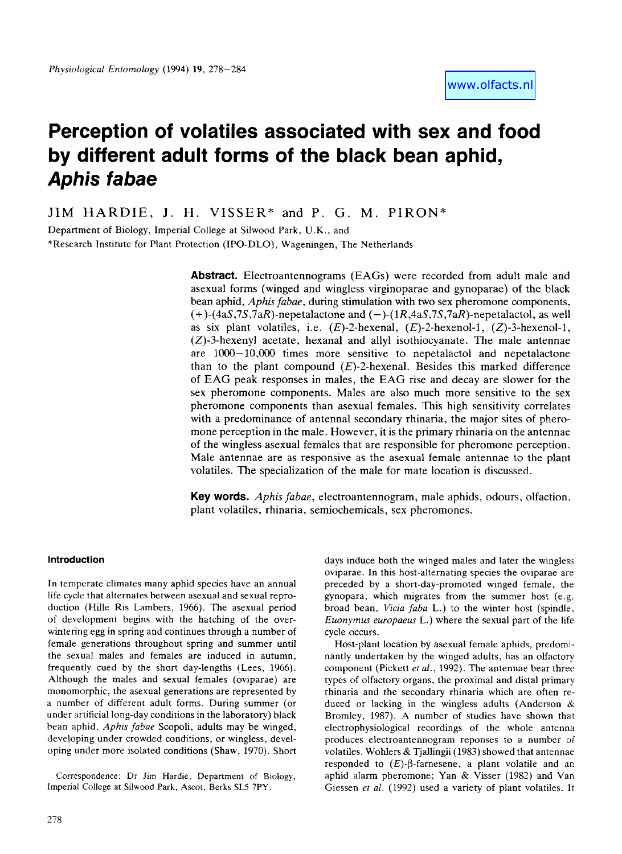# **Perception of volatiles associated with sex and food by different adult forms of the black bean aphid,**  *Aphis fabae*

JIM HARDIE, **J.** H. VISSER\* **and** P. G. M. PIRON\*

Department of Biology, Imperial College at Silwood Park, **U.K.,** and \*Research Institute for Plant Protection (IPO-DLO), Wageningen, The Netherlands

> **Abstract.** Electroantennograms **(EAGs)** were recorded from adult male and asexual forms (winged and wingless virginoparae and gynoparae) of the black bean aphid, *Aphis fabae,* during stimulation with two sex pheromone components,  $(+)$ -(4aS,7S,7aR)-nepetalactone and  $(-)$ -(1R,4aS,7S,7aR)-nepetalactol, as well as six plant volatiles, i.e.  $(E)$ -2-hexenal,  $(E)$ -2-hexenol-1,  $(Z)$ -3-hexenol-1,  $(Z)$ -3-hexenyl acetate, hexanal and allyl isothiocyanate. The male antennae are 1OOO- 10,OOO times more sensitive to nepetalactol and nepetalactone than to the plant compound  $(E)$ -2-hexenal. Besides this marked difference of **EAG** peak responses in males, the **EAG** rise and decay are slower for the sex pheromone components. Males are also much more sensitive to the sex pheromone components than asexual females. This high sensitivity correlates with a predominance of antenna1 secondary rhinaria, the major sites of pheromone perception in the male. However, it is the primary rhinaria on the antennae of the wingless asexual females that are responsible for pheromone perception. Male antennae are as responsive as the asexual female antennae to the plant volatiles. The specialization of the male for mate location is discussed.

> **Key words.** *Aphis fabae,* electroantennogram, male aphids, odours, olfaction, plant volatiles, rhinaria, semiochemicals, sex pheromones.

# **Introduction**

In tempcrate climates many aphid species have an annual life cycle that alternates between asexual and sexual reproduction (Hille Ris Lambers, 1966). The asexual period of development begins with the hatching of the overwintering egg in spring and continues through a number of female generations throughout spring and summer until the sexual males and females are induced in autumn, frequently cued by the short day-lengths (Lees, 1966). Although the males and sexual females (oviparae) are monomorphic. the asexual generations are represented by a number of different adult forms. During summer (or under artificial long-day conditions in the laboratory) black bean aphid, *Aphis fabae* Scopoli, adults may be winged, developing under crowded conditions, or wingless, developing under more isolated conditions (Shaw, 1970). Short

Correspondence: Dr Jim Hardie, Department of Biology, **imperial** College at Silwood **Park,** Ascot, Berks SL5 **7PY.** 

*Euonymus europaeus* L.) where the sexual part of the life cycle occurs. Host-plant location by asexual female aphids, predominantly undertaken by the winged adults, has an olfactory component (Pickett et *af.,* 1992). The antennae bear three types of olfactory organs, the proximal and distal primary rhinaria and the secondary rhinaria which are often re-

duced or lacking in the wingless adults (Anderson  $\&$ Bromley, 1987). A number of studies have shown that electrophysiological recordings of the whole antenna produces electroantennogram reponses to a number of volatiles. Wohlers & Tjallingii (1983) showed that antennae. responded to  $(E)$ - $\beta$ -farnesene, a plant volatile and an aphid alarm pheromone; Yan & Visser (1982) and Van Giessen *et al.* (1992) used a variety of plant volatiles. **Ii** 

days induce both the winged males and later the wingless oviparae. In this host-alternating species the oviparae are preceded by a short-day-promoted winged female, the gynopara, which migrates from the summer host (e.g. broad bean, *Vicia faba* **L.)** to the winter host (spindle,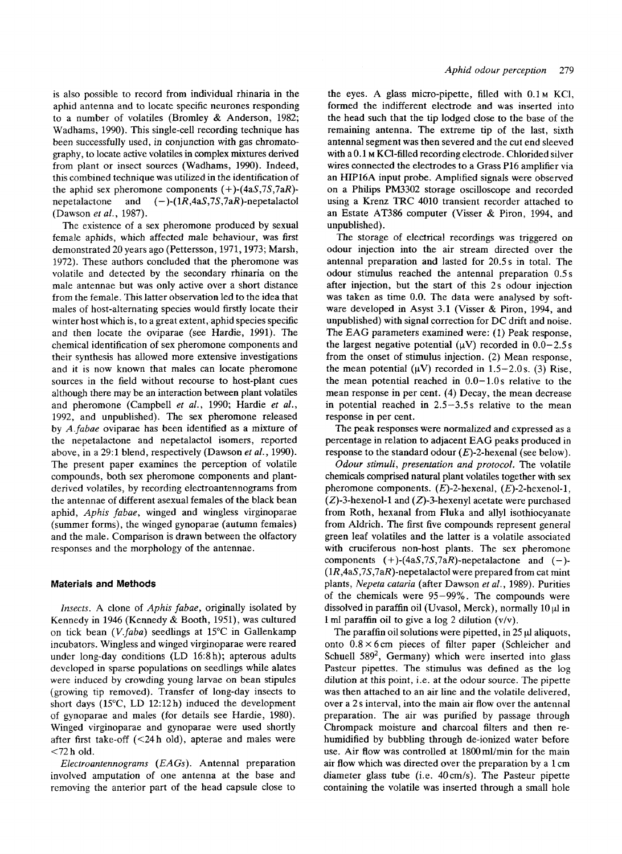is also possible to record from individual rhinaria in the aphid antenna and to locate specific neurones responding to a number of volatiles (Bromley & Anderson, 1982; Wadhams, 1990). This single-cell recording technique has been successfully used, in conjunction with gas chromatography, to locate active volatiles in complex mixtures derived from plant or insect sources (Wadhams, 1990). Indeed, this combined technique was utilized in the identification of the aphid sex pheromone components  $(+)$ - $(4aS,7S,7aR)$ nepetalactone and **(-)-(lR,4aS,7S,7aR)-nepetaIactol**  (Dawson *et al.,* 1987).

The existence of a sex pheromone produced by sexual female aphids, which affected male behaviour, was first demonstrated 20 years ago (Pettersson, 1971, 1973; Marsh, 1972). These authors concluded that the pheromone was volatile and detected by the secondary rhinaria on the male antennae but was only active over a short distance from the female. This latter observation led to the idea that males of host-alternating species would firstly locate their winter host which is, to a great extent, aphid species specific and then locate the oviparae (see Hardie, 1991). The chemical identification of sex pheromone components and their synthesis has allowed more extensive investigations and it is now known that males can locate pheromone sources in the field without recourse to host-plant cues although there may be an interaction between plant volatiles and pheromone (Campbell *et al.,* 1990; Hardie *et al.,*  1992, and unpublished). The sex pheromone released by *A.fabae* oviparae has been identified as a mixture of the nepetalactone and nepetalactol isomers, reported above, in a 29:l blend, respectively (Dawson *et al.,* 1990). The present paper examines the perception of volatile compounds, both sex pheromone components and plantderived volatiles, by recording electroantennograms from the antennae of different asexual females of the black bean aphid, *Aphis fabae,* winged and wingless virginoparae (summer forms), the winged gynoparae (autumn females) and the male. Comparison is drawn between the olfactory responses and the morphology of the antennae.

## *Materials* **and Methods**

*Insects.* **A** clone of *Aphis fabae,* originally isolated by Kennedy in 1946 (Kennedy & Booth, 1951), was cultured on tick bean *(V.faba)* seedlings at 15°C in Gallenkamp incubators. Wingless and winged virginoparae were reared under long-day conditions (LD 16:8 h); apterous adults developed in sparse populations on seedlings while alates were induced by crowding young larvae on bean stipules (growing tip removed). Transfer of long-day insects to short days  $(15^{\circ}C, LD\ 12:12h)$  induced the development of gynoparae and males (for details see Hardie, 1980). Winged virginoparae and gynoparae were used shortly after first take-off (<24h old), apterae and males were <72 h old.

*Electroantennograms (EA* Gs). Antenna1 preparation involved amputation of one antenna at the base and removing the anterior part of the head capsule close to

the eyes. A glass micro-pipette, filled with  $0.1<sub>M</sub>$  KCl, formed the indifferent electrode and was inserted into the head such that the tip lodged close to the base of the remaining antenna. The extreme tip of the last, sixth antennal segment was then severed and the cut end sleeved with a 0.1 M KCl-filled recording electrode. Chlorided silver wires connected the electrodes to a Grass P16 amplifier via an HIP16A input probe. Amplified signals were observed on a Philips PM3302 storage oscilloscope and recorded using a Krenz TRC 4010 transient recorder attached to an Estate AT386 computer (Visser & Piron, 1994, and unpublished).

The storage of electrical recordings was triggered on odour injection into the air stream directed over the antennal preparation and lasted for 20.5s in total. The odour stimulus reached the antennal preparation 0.5 s after injection, but the start **of** this 2s odour injection was taken as time 0.0. The data were analysed by software developed in Asyst 3.1 (Visser & Piron, 1994, and unpublished) with signal correction for DC drift and noise. The EAG parameters examined were: (1) Peak response, the largest negative potential  $(\mu V)$  recorded in  $0.0-2.5 s$ from the onset **of** stimulus injection. (2) Mean response, the mean potential  $(\mu V)$  recorded in 1.5-2.0s. (3) Rise, the mean potential reached in  $0.0-1.0$  s relative to the mean response in per cent. **(4)** Decay, the mean decrease in potential reached in  $2.5-3.5s$  relative to the mean response in per cent.

The peak responses were normalized and expressed as a percentage in relation to adjacent EAG peaks produced in response to the standard odour  $(E)$ -2-hexenal (see below).

*Odour stimuli, presentation and protocol.* The volatile chemicals comprised natural plant volatiles together with sex pheromone components.  $(E)$ -2-hexenal,  $(E)$ -2-hexenol-1,  $(Z)$ -3-hexenol-1 and  $(Z)$ -3-hexenyl acetate were purchased from Roth, hexanal from Fluka and ally1 isothiocyanate from Aldrich. The first five compounds represent general green leaf volatiles and the latter is a volatile associated with cruciferous non-host plants. The sex pheromone components  $(+)$ - $(4aS, 7S, 7aR)$ -nepetalactone and  $(-)$ -**(lR,4aS,7S,7aR)-nepetalactoI** were prepared from cat mint plants, *Nepeta cataria* (after Dawson *ef al.,* 1989). Purities of the chemicals were 95-99%. The compounds were dissolved in paraffin oil (Uvasol, Merck), normally  $10 \mu$ l in 1 ml paraffin oil to give a log *2* dilution (v/v).

The paraffin oil solutions were pipetted, in  $25 \mu l$  aliquots, onto 0.8 **x** 6cm pieces of filter paper (Schleicher and Schuell 589', Germany) which were inserted into glass Pasteur pipettes. The stimulus was defined as the log dilution at this point, i.e. at the odour source. The pipette was then attached to an air line and the volatile delivered, over a 2 s interval, into the main air flow over the antennal preparation. The air was purified by passage through Chrompack moisture and charcoal filters and then rehumidified by bubbling through de-ionized water before use. Air flow was controlled at 1800 ml/min for the main air flow which was directed over the preparation by a 1 cm diameter glass tube (i.e. 40cm/s). The Pasteur pipette containing the volatile was inserted through a small hole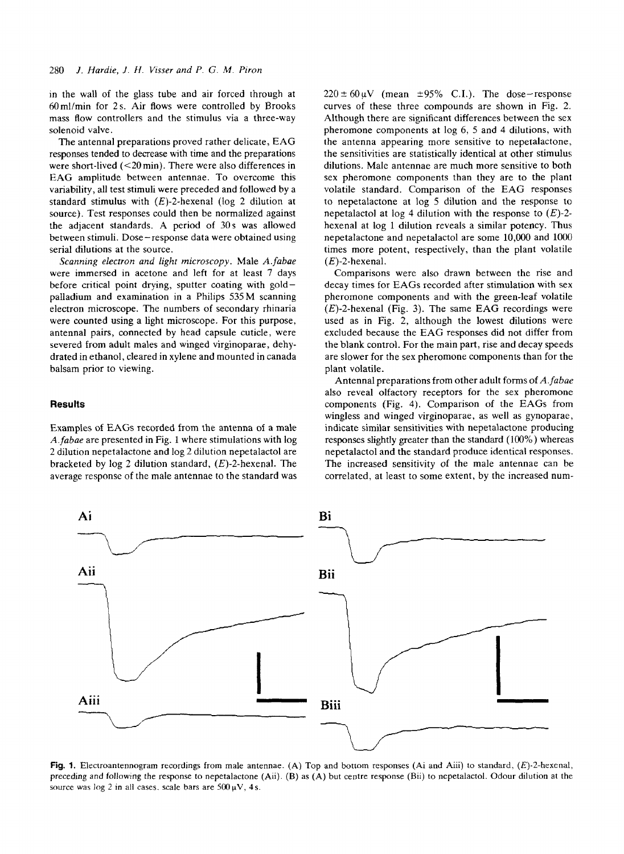in the wall of the glass tube and air forced through at  $60$ ml/min for 2s. Air flows were controlled by Brooks mass flow controllers and the stimulus via a three-way solenoid valve.

The antennal preparations proved rather delicate, EAG responses tended to decrease with time and the preparations were short-lived (<20 min). There were also differences in EAG amplitude between antennae. To overcome this variability, all test stimuli were preceded and followed by a standard stimulus with  $(E)$ -2-hexenal (log 2 dilution at source). Test responses could then be normalized against the adjacent standards. A period of 30s was allowed between stimuli. Dose-response data were obtained using serial dilutions at the source.

*Scanning electron and light microscopy.* Male *A.fabae* were immersed in acetone and left for at least **7** days before critical point drying, sputter coating with goldpalladium and examination in a Philips 535M scanning electron microscope. The numbers of secondary rhinaria were counted using a light microscope. For this purpose, antennal pairs, connected by head capsule cuticle, were severed from adult males and winged virginoparae, dehydrated in ethanol, cleared in xylene and mounted in Canada balsam prior to viewing.

#### **Results**

Examples of EAGs recorded from the antenna of a male *A.fabae* are presented in Fig. 1 where stimulations with log 2 dilution nepetalactone and log 2 dilution nepetalactol are bracketed by log *2* dilution standard, (E)-2-hexenal. The average response of the male antennae to the standard was  $220 \pm 60 \text{ uV}$  (mean  $\pm 95\%$  C.I.). The dose-response curves of these three compounds are shown in Fig. 2. Although there are significant differences between the sex pheromone components at log 6, 5 and 4 dilutions, with the antenna appearing more sensitive to nepetalactone, the sensitivities are statistically identical at other stimulus dilutions. Male antennae are much more sensitive to both sex pheromone components than they are to the plant volatile standard. Comparison of the EAG responses to nepetalactone at log *5* dilution and the response to nepetalactol at log **4** dilution with the response to *(E)-2*  hexenal at log 1 dilution reveals a similar potency. Thus nepetalactone and nepetalactol are some 10,000 and 1000' times more potent, respectively, than the plant volatile  $(E)$ -2-hexenal.

Comparisons were also drawn between the rise and decay times for EAGs recorded after stimulation with sex pheromone components and with the green-leaf volatile  $(E)$ -2-hexenal (Fig. 3). The same EAG recordings were used as in Fig. 2, although the lowest dilutions were excluded because the EAG responses did not differ from the blank control. For the main part, rise and decay speeds are slower for the sex pheromone components than for the plant volatile.

Antenna1 preparations from other adult forms of *A.fubae*  also reveal olfactory receptors for the sex pheromone components (Fig. 4). Comparison of the EAGs from wingless and winged virginoparae, as well as gynoparae, indicate similar sensitivities with nepetalactone producing responses slightly greater than the standard (100%) whereas nepetalactol and the standard produce identical responses. The increased sensitivity of the male antennae can be correlated, at least to some extent, by the increased num-



**Fig. 1.** Electroantennogram recordings **from** male antennae. (A) Top and bottom responses **(Ai** and Aiii) to standard. (E)-2-hexenal, preceding and following the response to nepetalactone (Aii). **(B)** as (A) but centre response (Bii) to nepetalactol. Odour dilution at the source was  $\log 2$  in all cases. scale bars are  $500 \mu V$ , **4s.**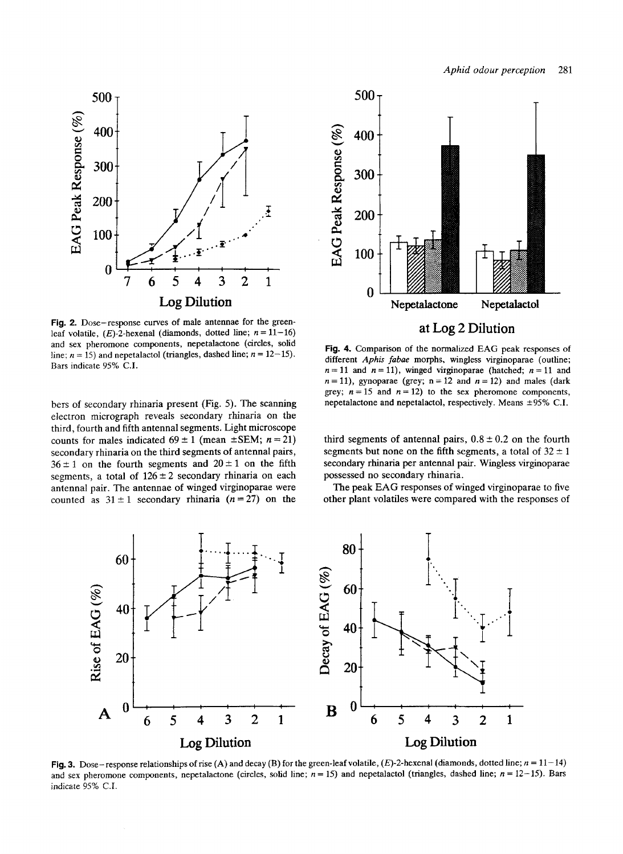

Fig. 2. Dose-response curves of male antennae for the greenleaf volatile,  $(E)$ -2-hexenal (diamonds, dotted line;  $n = 11-16$ ) and sex pheromone components, nepetalactone (circles, solid line;  $n = 15$ ) and nepetalactol (triangles, dashed line;  $n = 12-15$ ). Bars indicate 95% **C.I.** 

bers of secondary rhinaria present (Fig. 5). The scanning electron micrograph reveals secondary rhinaria on the third, fourth and fifth antennal segments. Light microscope counts for males indicated  $69 \pm 1$  (mean  $\pm$ SEM; *n* = 21) secondary rhinaria on the third segments of antennal pairs,  $36 \pm 1$  on the fourth segments and  $20 \pm 1$  on the fifth segments, a total of  $126 \pm 2$  secondary rhinaria on each antennal pair. The antennae of winged virginoparae were counted as  $31 \pm 1$  secondary rhinaria  $(n=27)$  on the



**Fig. 4.** Comparison **of** the normalized **EAG** peak responses of different *Aphis fabae* morphs, wingless virginoparae (outline;  $n = 11$  and  $n = 11$ ), winged virginoparae (hatched;  $n = 11$  and  $n = 11$ ), gynoparae (grey; n = 12 and  $n = 12$ ) and males (dark grey;  $n = 15$  and  $n = 12$ ) to the sex pheromone components, nepetalactone and nepetalactol, respectively. Means  $\pm$ 95% C.I.

third segments of antennal pairs,  $0.8 \pm 0.2$  on the fourth segments but none on the fifth segments, a total of  $32 \pm 1$ secondary rhinaria per antennal pair. Wingless virginoparae possessed no secondary rhinaria.

The peak **EAG** responses **of** winged virginoparae to five other plant volatiles were compared with the responses of



**Fig. 3.** Dose-response relationships **of** rise **(A)** and decay (B) for the green-leaf volatile, (E)-2-hexenal (diamonds, dotted line; n = 11-14) and sex pheromone components, nepetalactone (circles, solid line;  $n = 15$ ) and nepetalactol (triangles, dashed line;  $n = 12-15$ ). Bars indicate 95% C.I.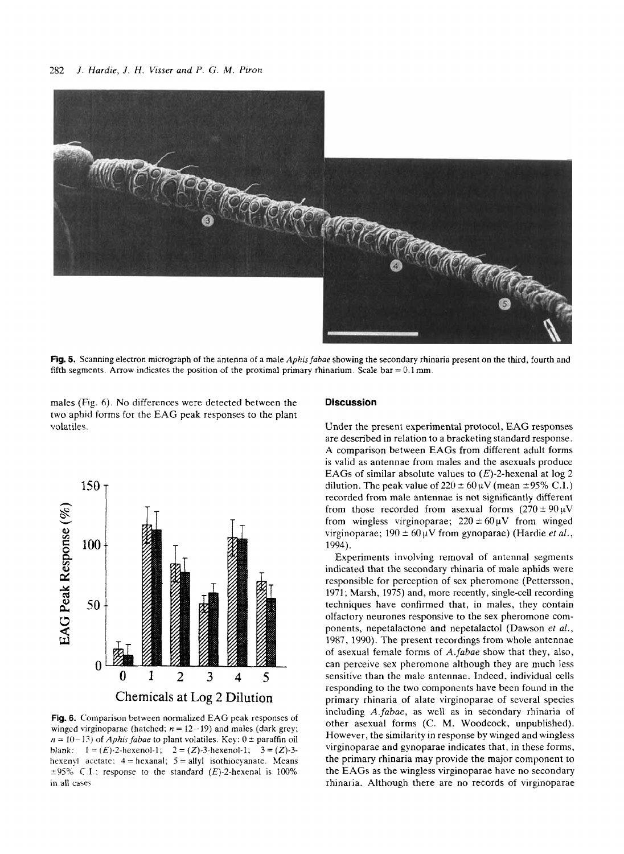

**Fig.** 5. Scanning electron micrograph **of** the antenna of a male *Aphis fabae* showing the secondary rhinaria present on the **third,** fourth and fifth segments. Arrow indicates the position of the proximal primary rhinarium. Scale bar  $=0.1$  mm.

males (Fig. 6). No differences were detected between the two aphid forms for the EAG peak responses to the plant volatiles.



**Fig. 6.** Comparison between normalized **EAG** peak responses of winged virginoparae (hatched;  $n = 12-19$ ) and males (dark grey;  $n = 10 - 13$ ) of *Aphis fabae* to plant volatiles. Key:  $0 \pm$  paraffin oil blank:  $1 = (E) \cdot 2$ -hexenol-1;  $2 = (Z) \cdot 3$ -hexenol-1;  $3 = (Z) \cdot 3$ hexenyl acetate;  $4 =$ hexanal;  $5 =$ allyl isothiocyanate. Means  $\pm 95\%$  C.1 : response to the standard  $(E)$ -2-hexenal is 100% in all cases

## **Discussion**

Under the present experimental protocol, EAG responses are described in relation to a bracketing standard response. A comparison between EAGs from different adult forms is valid as antennae from males and the asexuals produce EAGs of similar absolute values to  $(E)$ -2-hexenal at log 2 dilution. The peak value of  $220 \pm 60 \mu V$  (mean  $\pm 95\%$  C.I.) recorded from male antennae is not significantly different from those recorded from asexual forms  $(270 \pm 90 \,\mu\text{V})$ from wingless virginoparae;  $220 \pm 60 \mu V$  from winged virginoparae;  $190 \pm 60 \mu V$  from gynoparae) (Hardie *et al.*, 1994).

Experiments involving removal of antenna1 segments indicated that the secondary rhinaria of male aphids were responsible for perception of sex pheromone (Pettersson, 1971; Marsh, 1975) and, more recently, single-cell recording techniques have confirmed that, in males, they contain olfactory neurones responsive to the sex pheromone components, nepetalactone and nepetalactol (Dawson *et al.,*  1987, 1990). The present recordings from whole antennae of asexual female forms of *A.fabae* show that they, also, can perceive sex pheromone although they are much less sensitive than the male antennae. Indeed, individual cells responding to the two components have been found in the primary rhinaria of alate virginoparae of several species including *A.fabae,* as well as in secondary rhinaria ot other asexual forms (C. M. Woodcock, unpublished). However, the similarity in response by winged and wingless virginoparae and gynoparae indicates that, in these forms. the primary rhinaria may provide the major component to the EAGs as the wingless virginoparae have no secondary rhinaria. Although there are no records of virginoparae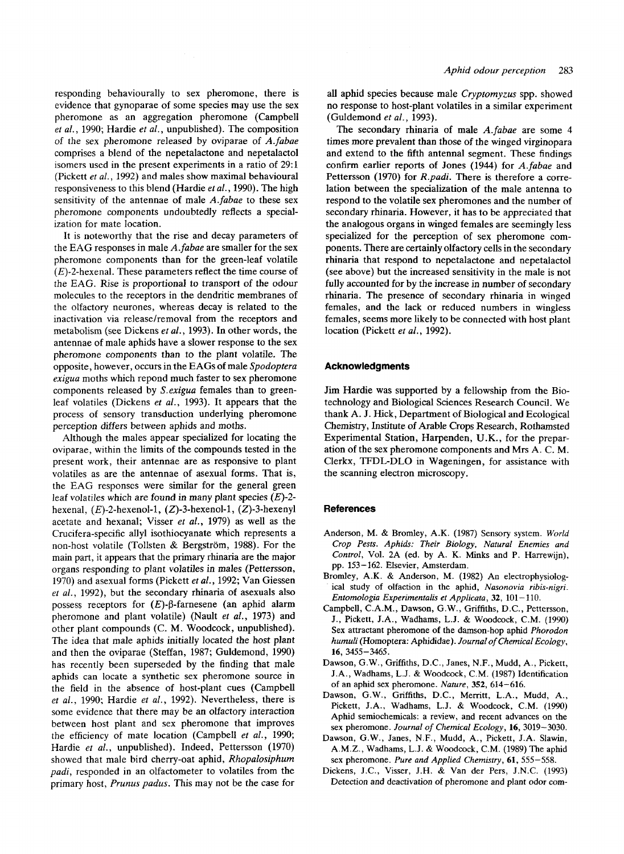responding behaviourally to sex pheromone, there is evidence that gynoparae of some species may use the sex pheromone as an aggregation pheromone (Campbell *et al.,* 1990; Hardie *et al.,* unpublished). The composition of the sex pheromone released by oviparae of *A.fabae*  comprises a blend of the nepetalactone and nepetalactol isomers used in the present experiments in a ratio of  $29:1$ (Pickett *et al.,* 1992) and males show maximal behavioural responsiveness to this blend (Hardie *etaf.,* 1990). The high sensitivity of the antennae of male *A.fabae* to these sex pheromone components undoubtedly reflects a specialization for mate location.

It is noteworthy that the rise and decay parameters of the EAG responses in male *A.fabae* are smaller for the sex pheromone components than for the green-leaf volatile  $(E)$ -2-hexenal. These parameters reflect the time course of the EAG. Rise is proportional to transport **of** the odour molecules to the receptors in the dendritic membranes of the olfactory neurones, whereas decay is related to the inactivation via release/removal from the receptors and metabolism (see Dickens *et al.,* 1993). In other words, the antennae of male aphids have a slower response to the sex pheromone components than to the plant volatile. The opposite, however, occurs in the EAGs of male *Spodoptera exigua* moths which repond much faster to sex pheromone components released by S. *exigua* females than to greenleaf volatiles (Dickens *et al.,* 1993). It appears that the process of sensory transduction underlying pheromone perception differs between aphids and moths.

Although the males appear specialized for locating the oviparae, within the limits of the compounds tested in the present work, their antennae are as responsive to plant volatiles as are the antennae of asexual forms. That is, the EAG responses were similar for the general green leaf volatiles which are found in many plant species  $(E)$ -2hexenal,  $(E)$ -2-hexenol-1,  $(Z)$ -3-hexenol-1,  $(Z)$ -3-hexenyl acetate and hexanal; Visser *et al.,* 1979) as well as the Crucifera-specific ally1 isothiocyanate which represents a non-host volatile (Tollsten & Bergström, 1988). For the main part, it appears that the primary rhinaria are the major organs responding to plant volatiles in males (Pettersson, 1970) and asexual forms (Pickett *et af.,* 1992; Van Giessen *et af.,* 1992), but the secondary rhinaria of asexuals also possess receptors for  $(E)$ - $\beta$ -farnesene (an aphid alarm pheromone and plant volatile) (Nault *et af.,* 1973) and other plant compounds (C. **M.** Woodcock, unpublished). The idea that male aphids initially located the host plant and then the oviparae (Steffan, 1987; Guldemond, 1990) has recently been superseded by the finding that male aphids can locate a synthetic sex pheromone source in the field in the absence of host-plant cues (Campbell *et al.,* 1990; Hardie *et al.,* 1992). Nevertheless, there is some evidence that there may be an olfactory interaction between host plant and sex pheromone that improves the efficiency of mate location (Campbell *et al.,* 1990; Hardie *et al.,* unpublished). Indeed, Pettersson (1970) showed that male bird cherry-oat aphid, *Rhopalosiphum*  padi, responded in an olfactometer to volatiles from the primary host, *Prunus padus.* This may not be the case for

all aphid species because male *Cryptomyzus* spp. showed no response to host-plant volatiles in a similar experiment (Guldemond *et af.,* 1993).

The secondary rhinaria of male *A.fabae* are some *4*  times more prevalent than those of the winged virginopara and extend to the fifth antenna1 segment. These findings confirm earlier reports of Jones (1944) for *A.fabae* and Pettersson (1970) for *R.padi.* There is therefore a correlation between the specialization of the male antenna to respond to the volatile sex pheromones and the number of secondary rhinaria. However, it has to be appreciated that the analogous organs in winged females are seemingly less specialized for the perception of sex pheromone components. There are certainly olfactory cells in the secondary rhinaria that respond to nepetalactone and nepetalactol (see above) but the increased sensitivity in the male is not fully accounted for by the increase in number of secondary rhinaria. The presence of secondary rhinaria in winged females, and the lack or reduced numbers in wingless females, seems more likely to be connected with host plant location (Pickett *et al.,* 1992).

#### **Acknowledgments**

Jim Hardie was supported by a fellowship from the Biotechnology and Biological Sciences Research Council. We thank A. J. Hick, Department of Biological and Ecological Chemistry, Institute of Arable Crops Research, Rothamsted Experimental Station, Harpenden, **U.K., for** the preparation of the sex pheromone components and Mrs A. C. **M.**  Clerkx, TFDL-DLO in Wageningen, for assistance with the scanning electron microscopy.

# **References**

- **Anderson, M.** & **Bromley, A.K. (1987) Sensory system.** *World Crop Pests. Aphids: Their Biology, Natural Enemies and Control,* **Vol. 2A (ed. by A. K. Minks and P. Harrewijn), pp. 153-162. Elsevier, Amsterdam.**
- **Bromley, A.K.** & **Anderson, M. (1982) An electrophysiological study of olfaction in the aphid,** *Nasonovia ribis-nigri. Entomologia Experimentalis et Applicata,* **32, 101** - **110.**
- **Campbell, C.A.M., Dawson, G.W., Griffiths, D.C., Pettersson, J., Pickett, J.A., Wadhams, L.J.** & **Woodcock, C.M. (1990) Sex attractant pheromone of the damson-hop aphid** *Phorodon humuli* **(Homoptera: Aphididae).** *Journal* of *Chemical Eco[ogy,*  **16, 3455-3465.**
- **Dawson, G.W., Griffiths, D.C., Janes, N.F., Mudd, A., Pickett, J.A., Wadhams, L.J.** & **Woodcock, C.M. (1987) Identification of an aphid sex pheromone.** *Nature,* **352, 614-616.**
- Dawson, G.W., Griffiths, D.C., Merritt, L.A., Mudd, A., **Pickett, J.A., Wadhams, L.J.** & **Woodcock, C.M. (1990) Aphid semiochemicals: a review, and recent advances** on **the sex pheromone.** *Journal* of *Chemical Ecology,* **16, 3019-3030.**
- **Dawson, G.W., Janes, N.F., Mudd, A., Pickett, J.A. Slawin, A.M.Z., Wadhams, L.J.** & **Woodcock, C.M. (1989) The aphid sex pheromone.** *Pure and Applied Chemistry,* **61, 555-558.**
- **Dickens, J.C., Visser, J.H.** & **Van der Pers, J.N.C. (1993) Detection and deactivation of pheromone and plant odor** com-